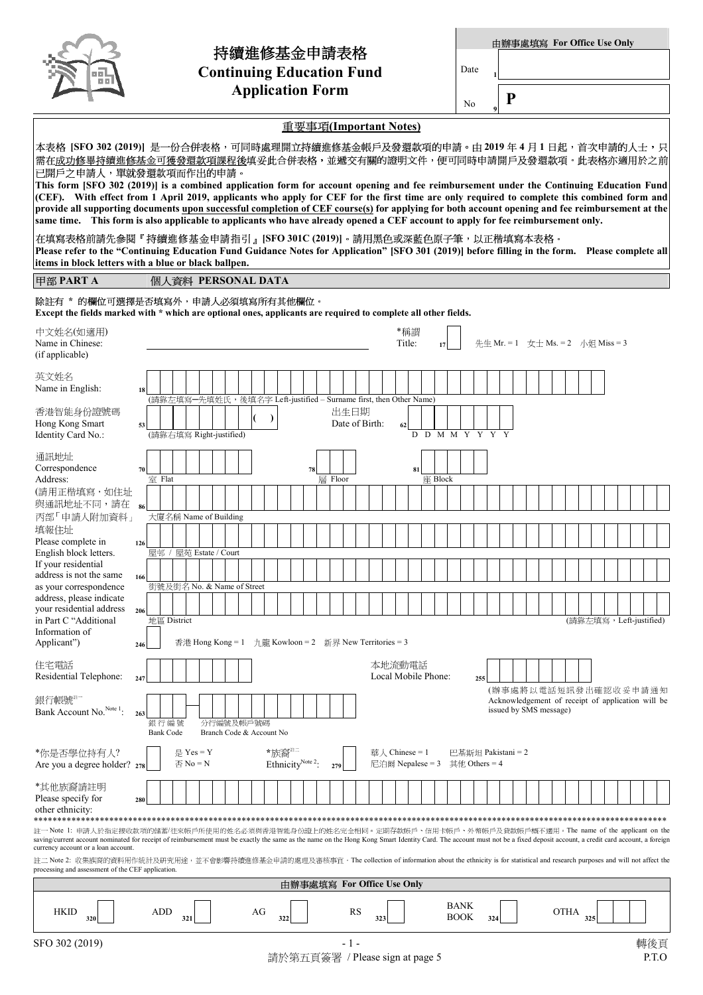| D<br>l II.<br>66 |
|------------------|
|------------------|

## 持續進修基金申請表格 **Continuing Education Fund Application Form**

重要事項**(Important Notes)** 

Date **<sup>1</sup>**

No **<sup>9</sup>**

**P**

| 本表格 [SFO 302 (2019)] 是一份合併表格,可同時處理開立持續進修基金帳戶及發還款項的申請。由 2019 年 4 月 1 日起,首次申請的人士,只 <br>需在 <u>成功修畢持續進修基金可獲發還款項課程後</u> 填妥此合併表格,並遞交有關的證明文件,便可同時申請開戶及發還款項。此表格亦適用於之前<br>已開戶之申請人,單就發還款項而作出的申請。<br>This form [SFO 302 (2019)] is a combined application form for account opening and fee reimbursement under the Continuing Education Fund<br>(CEF). With effect from 1 April 2019, applicants who apply for CEF for the first time are only required to complete this combined form and<br>provide all supporting documents upon successful completion of CEF course(s) for applying for both account opening and fee reimbursement at the |                                                                                                                                                                                                                                                                                                                                                                                                                                                                                                                         |                                                                                              |  |     |                                            |  |                                                        |    |                                        |     |                            |    |         |     |           |                |               |                  |                     |                            |     |                                                      |  |                                                                                                     |  |      |     |  |                         |  |
|------------------------------------------------------------------------------------------------------------------------------------------------------------------------------------------------------------------------------------------------------------------------------------------------------------------------------------------------------------------------------------------------------------------------------------------------------------------------------------------------------------------------------------------------------------------------------------------------------------------------------------|-------------------------------------------------------------------------------------------------------------------------------------------------------------------------------------------------------------------------------------------------------------------------------------------------------------------------------------------------------------------------------------------------------------------------------------------------------------------------------------------------------------------------|----------------------------------------------------------------------------------------------|--|-----|--------------------------------------------|--|--------------------------------------------------------|----|----------------------------------------|-----|----------------------------|----|---------|-----|-----------|----------------|---------------|------------------|---------------------|----------------------------|-----|------------------------------------------------------|--|-----------------------------------------------------------------------------------------------------|--|------|-----|--|-------------------------|--|
| same time. This form is also applicable to applicants who have already opened a CEF account to apply for fee reimbursement only.<br>在填寫表格前請先參閱『持續進修基金申請指引』[SFO 301C (2019)]。請用黑色或深藍色原子筆,以正楷填寫本表格。<br>Please refer to the "Continuing Education Fund Guidance Notes for Application" [SFO 301 (2019)] before filling in the form. Please complete all<br>items in block letters with a blue or black ballpen.                                                                                                                                                                                                                       |                                                                                                                                                                                                                                                                                                                                                                                                                                                                                                                         |                                                                                              |  |     |                                            |  |                                                        |    |                                        |     |                            |    |         |     |           |                |               |                  |                     |                            |     |                                                      |  |                                                                                                     |  |      |     |  |                         |  |
| 甲部 PART A                                                                                                                                                                                                                                                                                                                                                                                                                                                                                                                                                                                                                          |                                                                                                                                                                                                                                                                                                                                                                                                                                                                                                                         | 個人資料 PERSONAL DATA                                                                           |  |     |                                            |  |                                                        |    |                                        |     |                            |    |         |     |           |                |               |                  |                     |                            |     |                                                      |  |                                                                                                     |  |      |     |  |                         |  |
|                                                                                                                                                                                                                                                                                                                                                                                                                                                                                                                                                                                                                                    | 除註有 * 的欄位可選擇是否填寫外,申請人必須填寫所有其他欄位。<br>Except the fields marked with * which are optional ones, applicants are required to complete all other fields.                                                                                                                                                                                                                                                                                                                                                                      |                                                                                              |  |     |                                            |  |                                                        |    |                                        |     |                            |    |         |     |           |                |               |                  |                     |                            |     |                                                      |  |                                                                                                     |  |      |     |  |                         |  |
| 中文姓名(如適用)<br>Name in Chinese:<br>(if applicable)                                                                                                                                                                                                                                                                                                                                                                                                                                                                                                                                                                                   |                                                                                                                                                                                                                                                                                                                                                                                                                                                                                                                         |                                                                                              |  |     |                                            |  |                                                        |    |                                        |     |                            |    |         |     |           |                | *稱謂<br>Title: |                  |                     |                            |     | 先生 Mr. = 1 女士 Ms. = 2 小姐 Miss = 3                    |  |                                                                                                     |  |      |     |  |                         |  |
| 英文姓名<br>Name in English:                                                                                                                                                                                                                                                                                                                                                                                                                                                                                                                                                                                                           | 18                                                                                                                                                                                                                                                                                                                                                                                                                                                                                                                      |                                                                                              |  |     |                                            |  |                                                        |    |                                        |     |                            |    |         |     |           |                |               |                  |                     |                            |     |                                                      |  |                                                                                                     |  |      |     |  |                         |  |
| 香港智能身份證號碼<br>Hong Kong Smart<br>Identity Card No.:                                                                                                                                                                                                                                                                                                                                                                                                                                                                                                                                                                                 | 53                                                                                                                                                                                                                                                                                                                                                                                                                                                                                                                      | (請靠左填寫一先填姓氏,後填名字 Left-justified - Surname first, then Other Name)<br>(請靠右填寫 Right-justified) |  |     |                                            |  |                                                        |    |                                        |     |                            |    |         |     | 出生日期      | Date of Birth: | 62            | D                |                     |                            |     | D M M Y Y Y                                          |  |                                                                                                     |  |      |     |  |                         |  |
| 通訊地址<br>Correspondence<br>Address:                                                                                                                                                                                                                                                                                                                                                                                                                                                                                                                                                                                                 | 70                                                                                                                                                                                                                                                                                                                                                                                                                                                                                                                      | 室 Flat                                                                                       |  |     |                                            |  |                                                        |    |                                        |     |                            | 78 | 層 Floor |     |           |                |               | 81               | 座 Block             |                            |     |                                                      |  |                                                                                                     |  |      |     |  |                         |  |
| (請用正楷填寫,如住址<br>與通訊地址不同,請在<br>丙部「申請人附加資料」                                                                                                                                                                                                                                                                                                                                                                                                                                                                                                                                                                                           | 86                                                                                                                                                                                                                                                                                                                                                                                                                                                                                                                      | 大廈名稱 Name of Building                                                                        |  |     |                                            |  |                                                        |    |                                        |     |                            |    |         |     |           |                |               |                  |                     |                            |     |                                                      |  |                                                                                                     |  |      |     |  |                         |  |
| 填報住址<br>Please complete in                                                                                                                                                                                                                                                                                                                                                                                                                                                                                                                                                                                                         | 126                                                                                                                                                                                                                                                                                                                                                                                                                                                                                                                     |                                                                                              |  |     |                                            |  |                                                        |    |                                        |     |                            |    |         |     |           |                |               |                  |                     |                            |     |                                                      |  |                                                                                                     |  |      |     |  |                         |  |
| English block letters.<br>If your residential<br>address is not the same                                                                                                                                                                                                                                                                                                                                                                                                                                                                                                                                                           | 166                                                                                                                                                                                                                                                                                                                                                                                                                                                                                                                     | 屋邨 / 屋苑 Estate / Court                                                                       |  |     |                                            |  |                                                        |    |                                        |     |                            |    |         |     |           |                |               |                  |                     |                            |     |                                                      |  |                                                                                                     |  |      |     |  |                         |  |
| as your correspondence<br>address, please indicate<br>your residential address                                                                                                                                                                                                                                                                                                                                                                                                                                                                                                                                                     | 206                                                                                                                                                                                                                                                                                                                                                                                                                                                                                                                     | 街號及街名 No. & Name of Street                                                                   |  |     |                                            |  |                                                        |    |                                        |     |                            |    |         |     |           |                |               |                  |                     |                            |     |                                                      |  |                                                                                                     |  |      |     |  |                         |  |
| in Part C "Additional<br>Information of<br>Applicant")                                                                                                                                                                                                                                                                                                                                                                                                                                                                                                                                                                             | 246                                                                                                                                                                                                                                                                                                                                                                                                                                                                                                                     | 地區 District                                                                                  |  |     |                                            |  | 香港 Hong Kong = 1 九龍 Kowloon = 2 新界 New Territories = 3 |    |                                        |     |                            |    |         |     |           |                |               |                  |                     |                            |     |                                                      |  |                                                                                                     |  |      |     |  | (請靠左填寫, Left-justified) |  |
| 住宅電話<br>Residential Telephone:                                                                                                                                                                                                                                                                                                                                                                                                                                                                                                                                                                                                     | 247                                                                                                                                                                                                                                                                                                                                                                                                                                                                                                                     |                                                                                              |  |     |                                            |  |                                                        |    |                                        |     |                            |    |         |     |           | 本地流動電話         |               |                  | Local Mobile Phone: |                            | 255 |                                                      |  |                                                                                                     |  |      |     |  |                         |  |
| 銀行帳號<br>Bank Account No. <sup>Note 1</sup> :                                                                                                                                                                                                                                                                                                                                                                                                                                                                                                                                                                                       | 263                                                                                                                                                                                                                                                                                                                                                                                                                                                                                                                     |                                                                                              |  |     |                                            |  |                                                        |    |                                        |     |                            |    |         |     |           |                |               |                  |                     |                            |     |                                                      |  | (辦事處將以電話短訊發出確認收妥申請通知<br>Acknowledgement of receipt of application will be<br>issued by SMS message) |  |      |     |  |                         |  |
|                                                                                                                                                                                                                                                                                                                                                                                                                                                                                                                                                                                                                                    |                                                                                                                                                                                                                                                                                                                                                                                                                                                                                                                         | 銀行編號<br><b>Bank Code</b>                                                                     |  |     |                                            |  | 分行編號及帳戶號碼<br>Branch Code & Account No                  |    |                                        |     |                            |    |         |     |           |                |               |                  |                     |                            |     |                                                      |  |                                                                                                     |  |      |     |  |                         |  |
| *你是否學位持有人?<br>Are you a degree holder? 278                                                                                                                                                                                                                                                                                                                                                                                                                                                                                                                                                                                         |                                                                                                                                                                                                                                                                                                                                                                                                                                                                                                                         |                                                                                              |  |     | 是 Yes = Y<br>$\overline{\triangle}$ No = N |  |                                                        |    | *族裔#三<br>Ethnicity <sup>Note 2</sup> : |     |                            |    |         | 279 |           |                |               | 華人 Chinese = $1$ |                     |                            |     | 巴基斯坦 Pakistani = 2<br>尼泊爾 Nepalese = 3 其他 Others = 4 |  |                                                                                                     |  |      |     |  |                         |  |
| *其他族裔請註明<br>Please specify for<br>other ethnicity:                                                                                                                                                                                                                                                                                                                                                                                                                                                                                                                                                                                 | 280                                                                                                                                                                                                                                                                                                                                                                                                                                                                                                                     |                                                                                              |  |     |                                            |  |                                                        |    |                                        |     |                            |    |         |     |           |                |               |                  |                     |                            |     |                                                      |  |                                                                                                     |  |      |     |  |                         |  |
| ************<br>currency account or a loan account.                                                                                                                                                                                                                                                                                                                                                                                                                                                                                                                                                                                | 註一 Note 1: 申請人於指定接收款項的儲蓄/往來帳戶所使用的姓名必須與香港智能身份證上的姓名完全相同。定期存款帳戶、信用卡帳戶、外幣帳戶及貸款帳戶概不適用。The name of the applicant on the<br>saving/current account nominated for receipt of reimbursement must be exactly the same as the name on the Hong Kong Smart Identity Card. The account must not be a fixed deposit account, a credit card account, a foreign<br>註二 Note 2: 收集族裔的資料用作統計及研究用途,並不會影響持續進修基金申請的處理及審核事宜。The collection of information about the ethnicity is for statistical and research purposes and will not affect the |                                                                                              |  |     |                                            |  |                                                        |    |                                        |     |                            |    |         |     |           |                |               |                  |                     |                            |     |                                                      |  |                                                                                                     |  |      |     |  |                         |  |
| processing and assessment of the CEF application.                                                                                                                                                                                                                                                                                                                                                                                                                                                                                                                                                                                  |                                                                                                                                                                                                                                                                                                                                                                                                                                                                                                                         |                                                                                              |  |     |                                            |  |                                                        |    |                                        |     | 由辦事處填寫 For Office Use Only |    |         |     |           |                |               |                  |                     |                            |     |                                                      |  |                                                                                                     |  |      |     |  |                         |  |
| <b>HKID</b><br>320                                                                                                                                                                                                                                                                                                                                                                                                                                                                                                                                                                                                                 |                                                                                                                                                                                                                                                                                                                                                                                                                                                                                                                         | ADD                                                                                          |  | 321 |                                            |  |                                                        | AG |                                        | 322 |                            |    |         |     | <b>RS</b> | 323            |               |                  |                     | <b>BANK</b><br><b>BOOK</b> |     | 324                                                  |  |                                                                                                     |  | OTHA | 325 |  |                         |  |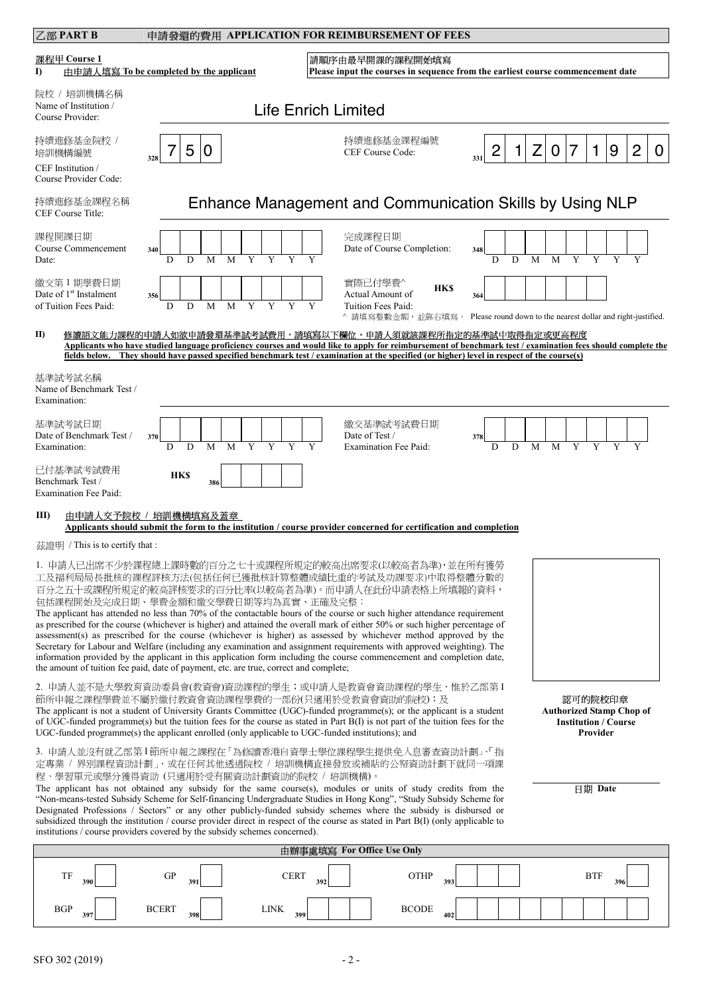| 乙部 PART B                                                                |                                                                                                                                                      | 申請發還的費用 APPLICATION FOR REIMBURSEMENT OF FEES                                                                                                                                                                                                                                                                                                                                                                                                                                                                                                                                                                                                                                                                                                                                                        |                                                                                                                                                             |
|--------------------------------------------------------------------------|------------------------------------------------------------------------------------------------------------------------------------------------------|------------------------------------------------------------------------------------------------------------------------------------------------------------------------------------------------------------------------------------------------------------------------------------------------------------------------------------------------------------------------------------------------------------------------------------------------------------------------------------------------------------------------------------------------------------------------------------------------------------------------------------------------------------------------------------------------------------------------------------------------------------------------------------------------------|-------------------------------------------------------------------------------------------------------------------------------------------------------------|
| 課程甲 Course 1<br>I)                                                       | 由申請人填寫 To be completed by the applicant                                                                                                              | 請順序由最早開課的課程開始填寫                                                                                                                                                                                                                                                                                                                                                                                                                                                                                                                                                                                                                                                                                                                                                                                      | Please input the courses in sequence from the earliest course commencement date                                                                             |
| 院校 / 培訓機構名稱<br>Name of Institution /<br>Course Provider:                 |                                                                                                                                                      | <b>Life Enrich Limited</b>                                                                                                                                                                                                                                                                                                                                                                                                                                                                                                                                                                                                                                                                                                                                                                           |                                                                                                                                                             |
| 持續進修基金院校 /<br>培訓機構編號<br>CEF Institution /<br>Course Provider Code:       | 5<br>0<br>328                                                                                                                                        | 持續進修基金課程編號<br>CEF Course Code:                                                                                                                                                                                                                                                                                                                                                                                                                                                                                                                                                                                                                                                                                                                                                                       | 9<br>2<br>$\mathbf 1$<br>2<br>Ζ<br>0<br>7<br>0<br>331                                                                                                       |
| 持續進修基金課程名稱<br>CEF Course Title:                                          |                                                                                                                                                      |                                                                                                                                                                                                                                                                                                                                                                                                                                                                                                                                                                                                                                                                                                                                                                                                      | Enhance Management and Communication Skills by Using NLP                                                                                                    |
| 課程開課日期<br>Course Commencement<br>Date:                                   | 340                                                                                                                                                  | 完成課程日期<br>Date of Course Completion:                                                                                                                                                                                                                                                                                                                                                                                                                                                                                                                                                                                                                                                                                                                                                                 | 348                                                                                                                                                         |
| 繳交第1期學費日期<br>Date of 1 <sup>st</sup> Instalment<br>of Tuition Fees Paid: | 356<br>$\overline{Y}$<br>M<br>D<br>D                                                                                                                 | 實際已付學費^<br><b>HKS</b><br>Actual Amount of<br>Tuition Fees Paid:                                                                                                                                                                                                                                                                                                                                                                                                                                                                                                                                                                                                                                                                                                                                      | 364<br>^ 請填寫整數金額,並靠右填寫。 Please round down to the nearest dollar and right-justified.                                                                        |
| II)                                                                      |                                                                                                                                                      | 修讀語文能力課程的申請人如欲申請發還基準試考試費用,請填寫以下欄位。申請人須就該課程所指定的基準試中取得指定或更高程度<br>fields below. They should have passed specified benchmark test / examination at the specified (or higher) level in respect of the course(s)                                                                                                                                                                                                                                                                                                                                                                                                                                                                                                                                                                                           | Applicants who have studied language proficiency courses and would like to apply for reimbursement of benchmark test / examination fees should complete the |
| 基準試考試名稱<br>Name of Benchmark Test /<br>Examination:                      |                                                                                                                                                      |                                                                                                                                                                                                                                                                                                                                                                                                                                                                                                                                                                                                                                                                                                                                                                                                      |                                                                                                                                                             |
| 基準試考試日期<br>Date of Benchmark Test /<br>Examination:                      | 370<br>D<br>M<br>D                                                                                                                                   | 繳交基準試考試費日期<br>Date of Test /<br><b>Examination Fee Paid:</b>                                                                                                                                                                                                                                                                                                                                                                                                                                                                                                                                                                                                                                                                                                                                         | 378<br>D<br>D<br>M<br>M                                                                                                                                     |
| 已付基準試考試費用<br>Benchmark Test /<br><b>Examination Fee Paid:</b>            | <b>HKS</b><br>386                                                                                                                                    |                                                                                                                                                                                                                                                                                                                                                                                                                                                                                                                                                                                                                                                                                                                                                                                                      |                                                                                                                                                             |
| $\text{III}$                                                             | 由申請人交予院校 / 培訓機構填寫及蓋章                                                                                                                                 | Applicants should submit the form to the institution / course provider concerned for certification and completion                                                                                                                                                                                                                                                                                                                                                                                                                                                                                                                                                                                                                                                                                    |                                                                                                                                                             |
| 茲證明 / This is to certify that :                                          |                                                                                                                                                      |                                                                                                                                                                                                                                                                                                                                                                                                                                                                                                                                                                                                                                                                                                                                                                                                      |                                                                                                                                                             |
|                                                                          | 包括課程開始及完成日期、學費金額和繳交學費日期等均為真實、正確及完整;<br>the amount of tuition fee paid, date of payment, etc. are true, correct and complete;                         | 1. 申請人已出席不少於課程總上課時數的百分之七十或課程所規定的較高出席要求(以較高者為準), 並在所有獲勞<br>工及福利局局長批核的課程評核方法(包括任何已獲批核計算整體成績比重的考試及功課要求)中取得整體分數的<br>百分之五十或課程所規定的較高評核要求的百分比率(以較高者為準)。而申請人在此份申請表格上所填報的資料,<br>The applicant has attended no less than 70% of the contactable hours of the course or such higher attendance requirement<br>as prescribed for the course (whichever is higher) and attained the overall mark of either 50% or such higher percentage of<br>assessment(s) as prescribed for the course (whichever is higher) as assessed by whichever method approved by the<br>Secretary for Labour and Welfare (including any examination and assignment requirements with approved weighting). The<br>information provided by the applicant in this application form including the course commencement and completion date, |                                                                                                                                                             |
|                                                                          | 節所申報之課程學費並不屬於繳付教資會資助課程學費的一部份(只適用於受教資會資助的院校);及<br>$UGC$ -funded programme(s) the applicant enrolled (only applicable to UGC-funded institutions); and | 2. 申請人並不是大學教育資助委員會(教資會)資助課程的學生;或申請人是教資會資助課程的學生,惟於乙部第I<br>The applicant is not a student of University Grants Committee (UGC)-funded programme(s); or the applicant is a student<br>of UGC-funded programme(s) but the tuition fees for the course as stated in Part B(I) is not part of the tuition fees for the                                                                                                                                                                                                                                                                                                                                                                                                                                                                                     | 認可的院校印章<br><b>Authorized Stamp Chop of</b><br><b>Institution / Course</b><br>Provider                                                                       |
|                                                                          | 程、學習單元或學分獲得資助 (只適用於受有關資助計劃資助的院校 / 培訓機構)。<br>institutions / course providers covered by the subsidy schemes concerned).                               | 3. 申請人並沒有就乙部第1節所申報之課程在「為修讀香港自資學士學位課程學生提供免入息審查資助計劃」、「指<br>定專業 / 界別課程資助計劃 」,或在任何其他透過院校 / 培訓機構直接發放或補貼的公帑資助計劃下就同一項課<br>The applicant has not obtained any subsidy for the same course(s), modules or units of study credits from the<br>"Non-means-tested Subsidy Scheme for Self-financing Undergraduate Studies in Hong Kong", "Study Subsidy Scheme for<br>Designated Professions / Sectors" or any other publicly-funded subsidy schemes where the subsidy is disbursed or<br>subsidized through the institution / course provider direct in respect of the course as stated in Part B(I) (only applicable to                                                                                                                                                                                        | 日期 Date                                                                                                                                                     |
|                                                                          |                                                                                                                                                      | 由辦事處填寫 For Office Use Only                                                                                                                                                                                                                                                                                                                                                                                                                                                                                                                                                                                                                                                                                                                                                                           |                                                                                                                                                             |
| TF                                                                       | GP<br><b>CERT</b><br>391                                                                                                                             | <b>OTHP</b><br>392<br>393                                                                                                                                                                                                                                                                                                                                                                                                                                                                                                                                                                                                                                                                                                                                                                            | <b>BTF</b><br>396                                                                                                                                           |
| <b>BGP</b>                                                               | <b>BCERT</b><br><b>LINK</b><br>399                                                                                                                   | <b>BCODE</b>                                                                                                                                                                                                                                                                                                                                                                                                                                                                                                                                                                                                                                                                                                                                                                                         |                                                                                                                                                             |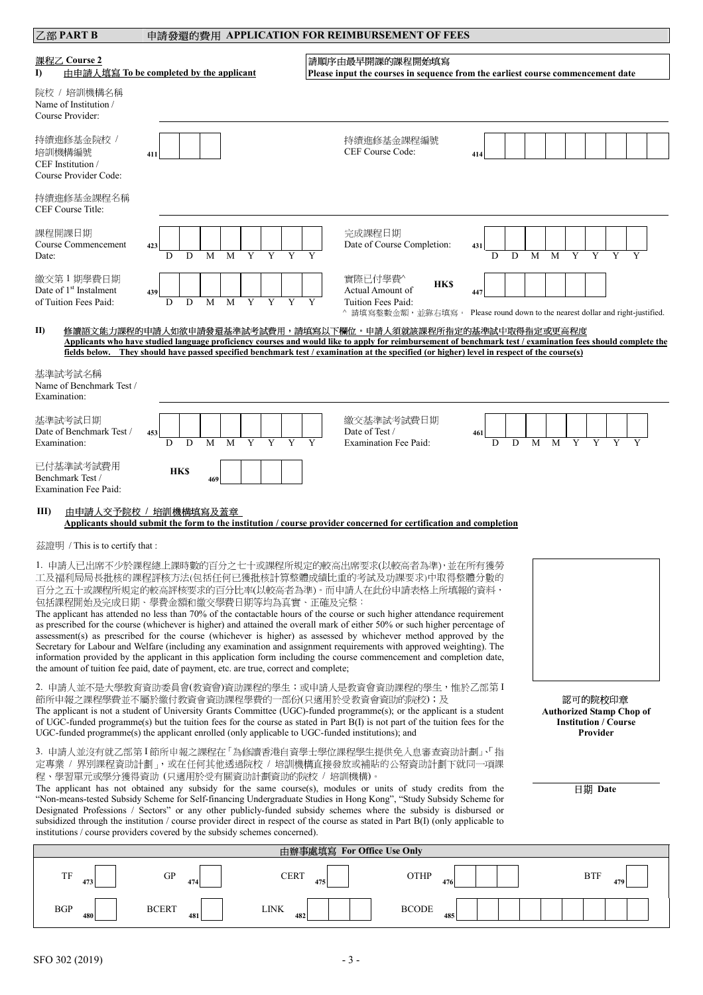| 乙部 PART B<br>申請發還的費用 APPLICATION FOR REIMBURSEMENT OF FEES                                                                                                                                                                                                                                                                                                                                                                                                                                                                                                                                                                                                                                                                                                                                                                                                                                                                          |                                                                                                                                                                                                                                                                                                                                                                                                                                                                                                                                                   |        |                                                                                                    |          |        |        |   |   |   |
|-------------------------------------------------------------------------------------------------------------------------------------------------------------------------------------------------------------------------------------------------------------------------------------------------------------------------------------------------------------------------------------------------------------------------------------------------------------------------------------------------------------------------------------------------------------------------------------------------------------------------------------------------------------------------------------------------------------------------------------------------------------------------------------------------------------------------------------------------------------------------------------------------------------------------------------|---------------------------------------------------------------------------------------------------------------------------------------------------------------------------------------------------------------------------------------------------------------------------------------------------------------------------------------------------------------------------------------------------------------------------------------------------------------------------------------------------------------------------------------------------|--------|----------------------------------------------------------------------------------------------------|----------|--------|--------|---|---|---|
| 課程乙 Course 2<br>$\bf{D}$                                                                                                                                                                                                                                                                                                                                                                                                                                                                                                                                                                                                                                                                                                                                                                                                                                                                                                            | 由申請人填寫 To be completed by the applicant                                                                                                                                                                                                                                                                                                                                                                                                                                                                                                           |        | 請順序由最早開課的課程開始填寫<br>Please input the courses in sequence from the earliest course commencement date |          |        |        |   |   |   |
| 院校 / 培訓機構名稱<br>Name of Institution /<br>Course Provider:                                                                                                                                                                                                                                                                                                                                                                                                                                                                                                                                                                                                                                                                                                                                                                                                                                                                            |                                                                                                                                                                                                                                                                                                                                                                                                                                                                                                                                                   |        |                                                                                                    |          |        |        |   |   |   |
| 持續進修基金院校 /<br>培訓機構編號<br>CEF Institution /<br>Course Provider Code:                                                                                                                                                                                                                                                                                                                                                                                                                                                                                                                                                                                                                                                                                                                                                                                                                                                                  | 411                                                                                                                                                                                                                                                                                                                                                                                                                                                                                                                                               |        | 持續進修基金課程編號<br>CEF Course Code:                                                                     | 414      |        |        |   |   |   |
| 持續進修基金課程名稱<br>CEF Course Title:                                                                                                                                                                                                                                                                                                                                                                                                                                                                                                                                                                                                                                                                                                                                                                                                                                                                                                     |                                                                                                                                                                                                                                                                                                                                                                                                                                                                                                                                                   |        |                                                                                                    |          |        |        |   |   |   |
| 課程開課日期<br>Course Commencement<br>Date:                                                                                                                                                                                                                                                                                                                                                                                                                                                                                                                                                                                                                                                                                                                                                                                                                                                                                              | 423<br>M                                                                                                                                                                                                                                                                                                                                                                                                                                                                                                                                          |        | 完成課程日期<br>Date of Course Completion:                                                               | 431      | M      | Y      |   |   |   |
| 繳交第1期學費日期<br>Date of 1 <sup>st</sup> Instalment<br>of Tuition Fees Paid:                                                                                                                                                                                                                                                                                                                                                                                                                                                                                                                                                                                                                                                                                                                                                                                                                                                            | 439<br>Y<br>D<br>D<br>M<br>Y<br>M                                                                                                                                                                                                                                                                                                                                                                                                                                                                                                                 | Y      | 實際已付學費^<br><b>HK\$</b><br>Actual Amount of<br>Tuition Fees Paid:<br>^ 請填寫整數金額,並靠右填寫。               | 447      |        |        |   |   |   |
| II)                                                                                                                                                                                                                                                                                                                                                                                                                                                                                                                                                                                                                                                                                                                                                                                                                                                                                                                                 | Please round down to the nearest dollar and right-justified.<br>修讀語文能力課程的申請人如欲申請發還基準試考試費用,請填寫以下欄位。申請人須就該課程所指定的基準試中取得指定或更高程度<br>Applicants who have studied language proficiency courses and would like to apply for reimbursement of benchmark test / examination fees should complete the<br>fields below. They should have passed specified benchmark test / examination at the specified (or higher) level in respect of the course(s)                                                                                                         |        |                                                                                                    |          |        |        |   |   |   |
| 基準試考試名稱<br>Name of Benchmark Test /<br>Examination:                                                                                                                                                                                                                                                                                                                                                                                                                                                                                                                                                                                                                                                                                                                                                                                                                                                                                 |                                                                                                                                                                                                                                                                                                                                                                                                                                                                                                                                                   |        |                                                                                                    |          |        |        |   |   |   |
| 基準試考試日期<br>Date of Benchmark Test /<br>Examination:                                                                                                                                                                                                                                                                                                                                                                                                                                                                                                                                                                                                                                                                                                                                                                                                                                                                                 | 453<br>Y<br>Y<br>D<br>D<br>M<br>M                                                                                                                                                                                                                                                                                                                                                                                                                                                                                                                 | Y<br>Y | 繳交基準試考試費日期<br>Date of Test /<br><b>Examination Fee Paid:</b>                                       | 461<br>D | D<br>M | M<br>Y | Y | Y | Y |
| 已付基準試考試費用<br>Benchmark Test /<br><b>Examination Fee Paid:</b>                                                                                                                                                                                                                                                                                                                                                                                                                                                                                                                                                                                                                                                                                                                                                                                                                                                                       | <b>HK\$</b><br>469                                                                                                                                                                                                                                                                                                                                                                                                                                                                                                                                |        |                                                                                                    |          |        |        |   |   |   |
| $\mathbf{III}$                                                                                                                                                                                                                                                                                                                                                                                                                                                                                                                                                                                                                                                                                                                                                                                                                                                                                                                      | 由申請人交予院校 / 培訓機構填寫及蓋章<br>Applicants should submit the form to the institution / course provider concerned for certification and completion                                                                                                                                                                                                                                                                                                                                                                                                         |        |                                                                                                    |          |        |        |   |   |   |
| 茲證明 / This is to certify that :                                                                                                                                                                                                                                                                                                                                                                                                                                                                                                                                                                                                                                                                                                                                                                                                                                                                                                     |                                                                                                                                                                                                                                                                                                                                                                                                                                                                                                                                                   |        |                                                                                                    |          |        |        |   |   |   |
| 1. 申請人已出席不少於課程總上課時數的百分之七十或課程所規定的較高出席要求(以較高者為準),並在所有獲勞<br>工及福利局局長批核的課程評核方法(包括任何已獲批核計算整體成績比重的考試及功課要求)中取得整體分數的<br>百分之五十或課程所規定的較高評核要求的百分比率(以較高者為準)。而申請人在此份申請表格上所填報的資料,<br>包括課程開始及完成日期、學費金額和繳交學費日期等均為真實、正確及完整;<br>The applicant has attended no less than 70% of the contactable hours of the course or such higher attendance requirement<br>as prescribed for the course (whichever is higher) and attained the overall mark of either 50% or such higher percentage of<br>assessment(s) as prescribed for the course (whichever is higher) as assessed by whichever method approved by the<br>Secretary for Labour and Welfare (including any examination and assignment requirements with approved weighting). The<br>information provided by the applicant in this application form including the course commencement and completion date,<br>the amount of tuition fee paid, date of payment, etc. are true, correct and complete; |                                                                                                                                                                                                                                                                                                                                                                                                                                                                                                                                                   |        |                                                                                                    |          |        |        |   |   |   |
| 2. 申請人並不是大學教育資助委員會(教資會)資助課程的學生;或申請人是教資會資助課程的學生,惟於乙部第 I<br>節所申報之課程學費並不屬於繳付教資會資助課程學費的一部份(只適用於受教資會資助的院校);及<br>認可的院校印章<br>The applicant is not a student of University Grants Committee (UGC)-funded programme(s); or the applicant is a student<br><b>Authorized Stamp Chop of</b><br>of UGC-funded programme(s) but the tuition fees for the course as stated in Part B(I) is not part of the tuition fees for the<br><b>Institution / Course</b><br>UGC-funded programme(s) the applicant enrolled (only applicable to UGC-funded institutions); and<br>Provider                                                                                                                                                                                                                                                                                                                                                                     |                                                                                                                                                                                                                                                                                                                                                                                                                                                                                                                                                   |        |                                                                                                    |          |        |        |   |   |   |
|                                                                                                                                                                                                                                                                                                                                                                                                                                                                                                                                                                                                                                                                                                                                                                                                                                                                                                                                     | 3. 申請人並沒有就乙部第1節所申報之課程在「為修讀香港自資學士學位課程學生提供免入息審查資助計劃」、「指<br>定專業 / 界別課程資助計劃」, 或在任何其他透過院校 / 培訓機構直接發放或補貼的公帑資助計劃下就同一項課                                                                                                                                                                                                                                                                                                                                                                                                                                   |        |                                                                                                    |          |        |        |   |   |   |
|                                                                                                                                                                                                                                                                                                                                                                                                                                                                                                                                                                                                                                                                                                                                                                                                                                                                                                                                     | 程、學習單元或學分獲得資助 (只適用於受有關資助計劃資助的院校 / 培訓機構)。<br>The applicant has not obtained any subsidy for the same course(s), modules or units of study credits from the<br>日期 Date<br>"Non-means-tested Subsidy Scheme for Self-financing Undergraduate Studies in Hong Kong", "Study Subsidy Scheme for<br>Designated Professions / Sectors" or any other publicly-funded subsidy schemes where the subsidy is disbursed or<br>subsidized through the institution / course provider direct in respect of the course as stated in Part B(I) (only applicable to |        |                                                                                                    |          |        |        |   |   |   |

|            |                 | 由辦事處填寫 For Office Use Only |              |            |
|------------|-----------------|----------------------------|--------------|------------|
| TF         | <b>GP</b>       | <b>CERT</b>                | <b>OTHP</b>  | <b>BTF</b> |
| 473        | 17 <sub>2</sub> | 475                        | 476          | 470        |
| <b>BGP</b> | <b>BCERT</b>    | <b>LINK</b>                | <b>BCODE</b> |            |
| 480        | 481             | 482                        | 485          |            |

institutions / course providers covered by the subsidy schemes concerned).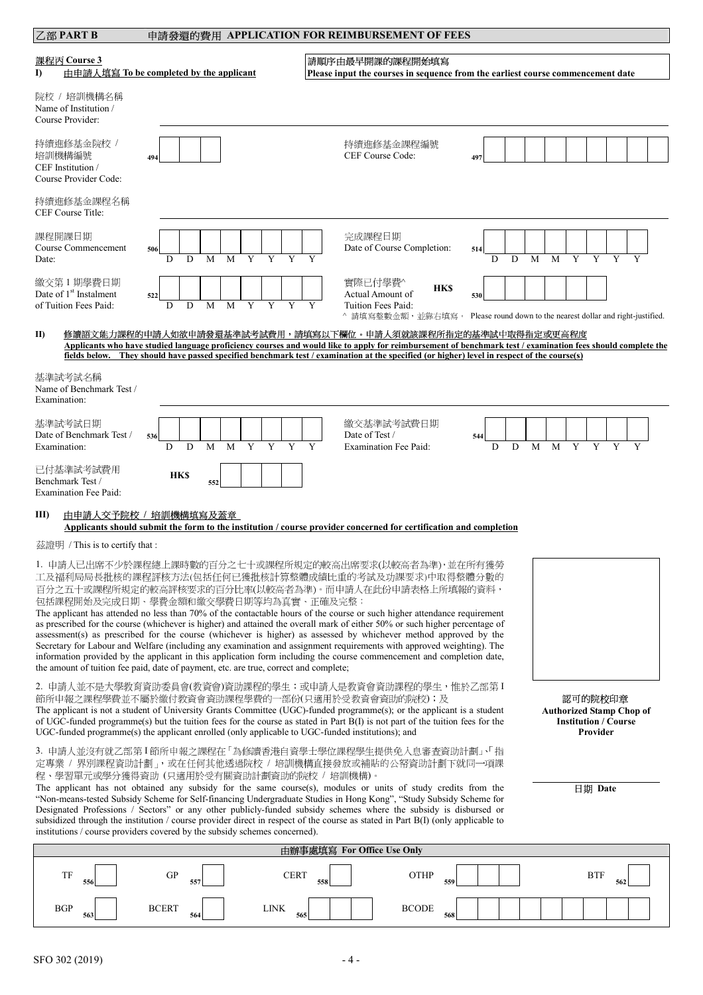|  | 申請發還的費用 APPLICATION FOR REIMBURSEMENT OF FEES |
|--|-----------------------------------------------|
|--|-----------------------------------------------|

| 乙部 PART B                                                                                                                                                                                                                                                                                                                                                                                                                                                                                                                                                                                                                                                                                                                                                                                                                                                                                                                           |                                                                                                                                                                                                                                                                                                                                                                           |                    |     |                | 申請發還的費用 APPLICATION FOR REIMBURSEMENT OF FEES                                                      |          |   |   |        |                     |                                                                |
|-------------------------------------------------------------------------------------------------------------------------------------------------------------------------------------------------------------------------------------------------------------------------------------------------------------------------------------------------------------------------------------------------------------------------------------------------------------------------------------------------------------------------------------------------------------------------------------------------------------------------------------------------------------------------------------------------------------------------------------------------------------------------------------------------------------------------------------------------------------------------------------------------------------------------------------|---------------------------------------------------------------------------------------------------------------------------------------------------------------------------------------------------------------------------------------------------------------------------------------------------------------------------------------------------------------------------|--------------------|-----|----------------|----------------------------------------------------------------------------------------------------|----------|---|---|--------|---------------------|----------------------------------------------------------------|
| 課程丙 Course 3<br><sup>1</sup>                                                                                                                                                                                                                                                                                                                                                                                                                                                                                                                                                                                                                                                                                                                                                                                                                                                                                                        | 由申請人填寫 To be completed by the applicant                                                                                                                                                                                                                                                                                                                                   |                    |     |                | 請順序由最早開課的課程開始填寫<br>Please input the courses in sequence from the earliest course commencement date |          |   |   |        |                     |                                                                |
| 院校 / 培訓機構名稱<br>Name of Institution /<br>Course Provider:                                                                                                                                                                                                                                                                                                                                                                                                                                                                                                                                                                                                                                                                                                                                                                                                                                                                            |                                                                                                                                                                                                                                                                                                                                                                           |                    |     |                |                                                                                                    |          |   |   |        |                     |                                                                |
| 持續進修基金院校 /<br>培訓機構編號<br>CEF Institution /<br>Course Provider Code:                                                                                                                                                                                                                                                                                                                                                                                                                                                                                                                                                                                                                                                                                                                                                                                                                                                                  | 494                                                                                                                                                                                                                                                                                                                                                                       |                    |     |                | 持續進修基金課程編號<br>CEF Course Code:                                                                     | 497      |   |   |        |                     |                                                                |
| 持續進修基金課程名稱<br>CEF Course Title:                                                                                                                                                                                                                                                                                                                                                                                                                                                                                                                                                                                                                                                                                                                                                                                                                                                                                                     |                                                                                                                                                                                                                                                                                                                                                                           |                    |     |                |                                                                                                    |          |   |   |        |                     |                                                                |
| 課程開課日期<br>Course Commencement<br>Date:                                                                                                                                                                                                                                                                                                                                                                                                                                                                                                                                                                                                                                                                                                                                                                                                                                                                                              | 506<br>M                                                                                                                                                                                                                                                                                                                                                                  |                    |     | 完成課程日期         | Date of Course Completion:                                                                         | 514      | D | M | M      |                     |                                                                |
| 繳交第1期學費日期<br>Date of 1 <sup>st</sup> Instalment<br>of Tuition Fees Paid:                                                                                                                                                                                                                                                                                                                                                                                                                                                                                                                                                                                                                                                                                                                                                                                                                                                            | 522<br>D<br>D<br>M                                                                                                                                                                                                                                                                                                                                                        | M<br>Y<br>Y        |     | 實際已付學費^        | <b>HKS</b><br>Actual Amount of<br>Tuition Fees Paid:<br>^ 請填寫整數金額,並靠右填寫。                           | 530      |   |   |        |                     | Please round down to the nearest dollar and right-justified.   |
| II)                                                                                                                                                                                                                                                                                                                                                                                                                                                                                                                                                                                                                                                                                                                                                                                                                                                                                                                                 | 修讀語文能力課程的申請人如欲申請發還基準試考試費用,請填寫以下欄位。申請人須就該課程所指定的基準試中取得指定或更高程度<br>Applicants who have studied language proficiency courses and would like to apply for reimbursement of benchmark test / examination fees should complete the<br>fields below. They should have passed specified benchmark test / examination at the specified (or higher) level in respect of the course(s) |                    |     |                |                                                                                                    |          |   |   |        |                     |                                                                |
| 基準試考試名稱<br>Name of Benchmark Test /<br>Examination:                                                                                                                                                                                                                                                                                                                                                                                                                                                                                                                                                                                                                                                                                                                                                                                                                                                                                 |                                                                                                                                                                                                                                                                                                                                                                           |                    |     |                |                                                                                                    |          |   |   |        |                     |                                                                |
| 基準試考試日期<br>Date of Benchmark Test /<br>Examination:                                                                                                                                                                                                                                                                                                                                                                                                                                                                                                                                                                                                                                                                                                                                                                                                                                                                                 | 536<br>D<br>D<br>M                                                                                                                                                                                                                                                                                                                                                        | M                  |     | Date of Test / | 繳交基準試考試費日期<br><b>Examination Fee Paid:</b>                                                         | 544<br>D | D | M | Y<br>M |                     |                                                                |
| 已付基準試考試費用<br>Benchmark Test /<br><b>Examination Fee Paid:</b>                                                                                                                                                                                                                                                                                                                                                                                                                                                                                                                                                                                                                                                                                                                                                                                                                                                                       | <b>HKS</b><br>552                                                                                                                                                                                                                                                                                                                                                         |                    |     |                |                                                                                                    |          |   |   |        |                     |                                                                |
| III)                                                                                                                                                                                                                                                                                                                                                                                                                                                                                                                                                                                                                                                                                                                                                                                                                                                                                                                                | 由申請人交予院校 / 培訓機構填寫及蓋章<br>Applicants should submit the form to the institution / course provider concerned for certification and completion                                                                                                                                                                                                                                 |                    |     |                |                                                                                                    |          |   |   |        |                     |                                                                |
| 茲證明 / This is to certify that :                                                                                                                                                                                                                                                                                                                                                                                                                                                                                                                                                                                                                                                                                                                                                                                                                                                                                                     |                                                                                                                                                                                                                                                                                                                                                                           |                    |     |                |                                                                                                    |          |   |   |        |                     |                                                                |
| 1. 申請人已出席不少於課程總上課時數的百分之七十或課程所規定的較高出席要求(以較高者為準),並在所有獲勞<br>工及福利局局長批核的課程評核方法(包括任何已獲批核計算整體成績比重的考試及功課要求)中取得整體分數的<br>百分之五十或課程所規定的較高評核要求的百分比率(以較高者為準)。而申請人在此份申請表格上所填報的資料,<br>包括課程開始及完成日期、學費金額和繳交學費日期等均為真實、正確及完整;<br>The applicant has attended no less than 70% of the contactable hours of the course or such higher attendance requirement<br>as prescribed for the course (whichever is higher) and attained the overall mark of either 50% or such higher percentage of<br>assessment(s) as prescribed for the course (whichever is higher) as assessed by whichever method approved by the<br>Secretary for Labour and Welfare (including any examination and assignment requirements with approved weighting). The<br>information provided by the applicant in this application form including the course commencement and completion date,<br>the amount of tuition fee paid, date of payment, etc. are true, correct and complete; |                                                                                                                                                                                                                                                                                                                                                                           |                    |     |                |                                                                                                    |          |   |   |        |                     |                                                                |
| 2. 申請人並不是大學教育資助委員會(教資會)資助課程的學生;或申請人是教資會資助課程的學生,惟於乙部第 I<br>節所申報之課程學費並不屬於繳付教資會資助課程學費的一部份(只適用於受教資會資助的院校);及<br>The applicant is not a student of University Grants Committee (UGC)-funded programme(s); or the applicant is a student<br>of UGC-funded programme(s) but the tuition fees for the course as stated in Part B(I) is not part of the tuition fees for the<br>UGC-funded programme(s) the applicant enrolled (only applicable to UGC-funded institutions); and                                                                                                                                                                                                                                                                                                                                                                                                                                                              |                                                                                                                                                                                                                                                                                                                                                                           |                    |     |                |                                                                                                    |          |   |   |        | 認可的院校印章<br>Provider | <b>Authorized Stamp Chop of</b><br><b>Institution / Course</b> |
| 3. 申請人並沒有就乙部第1節所申報之課程在「為修讀香港自資學士學位課程學生提供免入息審查資助計劃」、「指<br>定專業 / 界別課程資助計劃」, 或在任何其他透過院校 / 培訓機構直接發放或補貼的公帑資助計劃下就同一項課<br>程、學習單元或學分獲得資助 (只適用於受有關資助計劃資助的院校 / 培訓機構)。<br>The applicant has not obtained any subsidy for the same course(s), modules or units of study credits from the<br>"Non-means-tested Subsidy Scheme for Self-financing Undergraduate Studies in Hong Kong", "Study Subsidy Scheme for<br>Designated Professions / Sectors" or any other publicly-funded subsidy schemes where the subsidy is disbursed or<br>subsidized through the institution / course provider direct in respect of the course as stated in Part B(I) (only applicable to<br>institutions / course providers covered by the subsidy schemes concerned).                                                                                                                                                                                             |                                                                                                                                                                                                                                                                                                                                                                           |                    |     |                |                                                                                                    |          |   |   |        | 日期 Date             |                                                                |
|                                                                                                                                                                                                                                                                                                                                                                                                                                                                                                                                                                                                                                                                                                                                                                                                                                                                                                                                     |                                                                                                                                                                                                                                                                                                                                                                           |                    |     |                | 由辦事處填寫 For Office Use Only                                                                         |          |   |   |        |                     |                                                                |
| TF<br>556                                                                                                                                                                                                                                                                                                                                                                                                                                                                                                                                                                                                                                                                                                                                                                                                                                                                                                                           | <b>GP</b><br>55′                                                                                                                                                                                                                                                                                                                                                          | <b>CERT</b>        | 558 |                | <b>OTHP</b><br>559                                                                                 |          |   |   |        | <b>BTF</b>          |                                                                |
| <b>BGP</b><br>563                                                                                                                                                                                                                                                                                                                                                                                                                                                                                                                                                                                                                                                                                                                                                                                                                                                                                                                   | <b>BCERT</b><br>564                                                                                                                                                                                                                                                                                                                                                       | <b>LINK</b><br>565 |     |                | <b>BCODE</b><br>568                                                                                |          |   |   |        |                     |                                                                |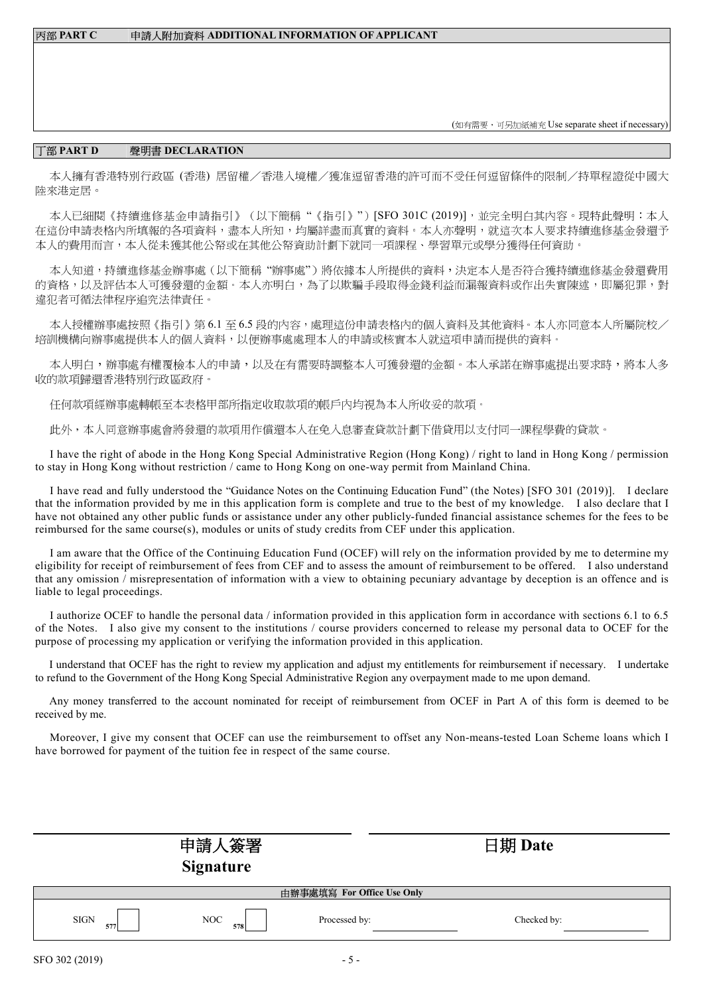丙部 **PART C** 申請人附加資料 **ADDITIONAL INFORMATION OF APPLICANT** 

(如有需要,可另加紙補充 Use separate sheet if necessary)

## 丁部 **PART D** 聲明書 **DECLARATION**

本人擁有香港特別行政區 (香港) 居留權/香港入境權/獲准逗留香港的許可而不受任何逗留條件的限制/持單程證從中國大 陸來港定居。

本人已細閱《持續進修基金申請指引》(以下簡稱"《指引》")[SFO 301C (2019)], 並完全明白其內容。現特此聲明:本人 在這份申請表格內所填報的各項資料,盡本人所知,均屬詳盡而真實的資料。本人亦聲明,就這次本人要求持續進修基金發還予 本人的費用而言,本人從未獲其他公帑或在其他公帑資助計劃下就同一項課程、學習單元或學分獲得任何資助。

本人知道,持續進修基金辦事處(以下簡稱"辦事處")將依據本人所提供的資料,決定本人是否符合獲持續進修基金發還費用 的資格,以及評估本人可獲發還的金額。本人亦明白,為了以欺騙手段取得金錢利益而漏報資料或作出失實陳述,即屬犯罪,對 違犯者可循法律程序追究法律責任。

本人授權辦事處按照《指引》第 6.1 至 6.5 段的內容,處理這份申請表格內的個人資料及其他資料。本人亦同意本人所屬院校/ 培訓機構向辦事處提供本人的個人資料,以便辦事處處理本人的申請或核實本人就這項申請而提供的資料。

本人明白,辦事處有權覆檢本人的申請,以及在有需要時調整本人可獲發還的金額。本人承諾在辦事處提出要求時,將本人多 收的款項歸還香港特別行政區政府。

任何款項經辦事處轉帳至本表格甲部所指定收取款項的帳戶內均視為本人所收妥的款項。

此外,本人同意辦事處會將發還的款項用作償還本人在免入息審查貸款計劃下借貸用以支付同一課程學費的貸款。

I have the right of abode in the Hong Kong Special Administrative Region (Hong Kong) / right to land in Hong Kong / permission to stay in Hong Kong without restriction / came to Hong Kong on one-way permit from Mainland China.

I have read and fully understood the "Guidance Notes on the Continuing Education Fund" (the Notes) [SFO 301 (2019)]. I declare that the information provided by me in this application form is complete and true to the best of my knowledge. I also declare that I have not obtained any other public funds or assistance under any other publicly-funded financial assistance schemes for the fees to be reimbursed for the same course(s), modules or units of study credits from CEF under this application.

I am aware that the Office of the Continuing Education Fund (OCEF) will rely on the information provided by me to determine my eligibility for receipt of reimbursement of fees from CEF and to assess the amount of reimbursement to be offered. I also understand that any omission  $\overline{\ell}$  misrepresentation of information with a view to obtaining pecuniary advantage by deception is an offence and is liable to legal proceedings.

I authorize OCEF to handle the personal data / information provided in this application form in accordance with sections 6.1 to 6.5 of the Notes. I also give my consent to the institutions / course providers concerned to release my personal data to OCEF for the purpose of processing my application or verifying the information provided in this application.

I understand that OCEF has the right to review my application and adjust my entitlements for reimbursement if necessary. I undertake to refund to the Government of the Hong Kong Special Administrative Region any overpayment made to me upon demand.

Any money transferred to the account nominated for receipt of reimbursement from OCEF in Part A of this form is deemed to be received by me.

Moreover, I give my consent that OCEF can use the reimbursement to offset any Non-means-tested Loan Scheme loans which I have borrowed for payment of the tuition fee in respect of the same course.

|                    | 申請人簽署<br><b>Signature</b> |                            | 日期 Date     |
|--------------------|---------------------------|----------------------------|-------------|
|                    |                           | 由辦事處填寫 For Office Use Only |             |
| <b>SIGN</b><br>577 | NOC<br>5781               | Processed by:              | Checked by: |